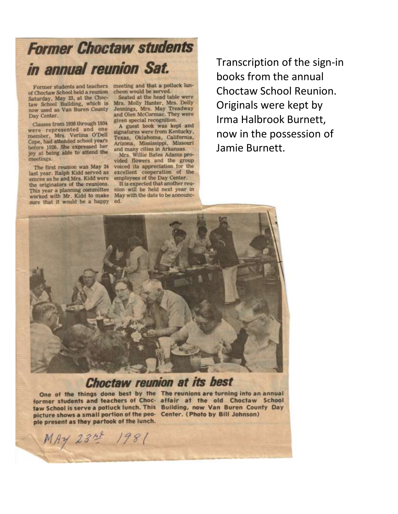## **Former Choctaw students** in annual reunion Sat.

of Choctaw School held a reunion cheon would be served. Saturday, May 23, at the Choc-

Classes from 1926 through 1934 were represented and one member, Mrs. Verlina O'Dell Cope, had attended school years tope, nad attended school years joy at being able to attend the meetings.

The first reunion was May 24 last year. Ralph Kidd served as emcee as he and Mrs. Kidd were the originators of the reunions. This year a planning committee worked with Mr. Kidd to make sure that it would be a happy

Former students and teachers meeting and that a potluck lun-

Seated at the head table were Saturday, May 23, at the choc-<br>taw School Building, which is Mrs. Molly Hunter, Mrs. Dolly<br>now used as Van Buren County Jennings, Mrs. May Treadway<br>Day Center.<br>and Olen McCormac. They were given special recognition.

A guest book was kept and signatures were from Kentucky, Texas, Oklahoma, California, Arizona, Mississippi, Missouri and many cities in Arkansas.

Mrs. Willie Bates Adams provided flowers and the group voiced its appreciation for the excellent cooperation of the employees of the Day Center.

It is expected that another reunion will be held next year in May with the date to be announced.

Transcription of the sign-in books from the annual Choctaw School Reunion. Originals were kept by Irma Halbrook Burnett, now in the possession of Jamie Burnett.



## **Choctaw reunion at its best**

picture shows a small portion of the peo- Center. (Photo by Bill Johnson) ple present as they partook of the lunch.

One of the things done best by the The reunions are turning into an annual former students and teachers of Choc- affair at the old Choctaw School taw School is serve a potluck lunch. This Building, now Van Buren County Day

MAY 234 1981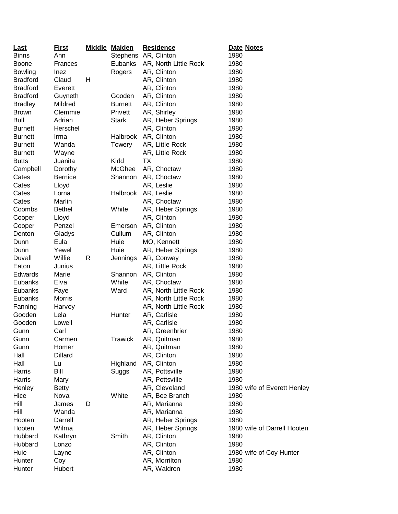| <b>Last</b>     | <u>First</u>   |   | <b>Middle Maiden</b> | <b>Residence</b>      | Date Notes                  |
|-----------------|----------------|---|----------------------|-----------------------|-----------------------------|
| <b>Binns</b>    | Ann            |   |                      | Stephens AR, Clinton  | 1980                        |
| <b>Boone</b>    | Frances        |   | Eubanks              | AR, North Little Rock | 1980                        |
| <b>Bowling</b>  | Inez           |   | Rogers               | AR, Clinton           | 1980                        |
| <b>Bradford</b> | Claud          | н |                      | AR, Clinton           | 1980                        |
| <b>Bradford</b> | Everett        |   |                      | AR, Clinton           | 1980                        |
| <b>Bradford</b> | Guyneth        |   | Gooden               | AR, Clinton           | 1980                        |
| <b>Bradley</b>  | Mildred        |   | <b>Burnett</b>       | AR, Clinton           | 1980                        |
| <b>Brown</b>    | Clemmie        |   | Privett              | AR, Shirley           | 1980                        |
| <b>Bull</b>     | Adrian         |   | <b>Stark</b>         | AR, Heber Springs     | 1980                        |
| <b>Burnett</b>  | Herschel       |   |                      | AR, Clinton           | 1980                        |
| <b>Burnett</b>  | Irma           |   |                      | Halbrook AR, Clinton  | 1980                        |
| <b>Burnett</b>  | Wanda          |   | Towery               | AR, Little Rock       | 1980                        |
| <b>Burnett</b>  | Wayne          |   |                      | AR, Little Rock       | 1980                        |
| <b>Butts</b>    | Juanita        |   | Kidd                 | ТX                    | 1980                        |
| Campbell        | Dorothy        |   | McGhee               | AR, Choctaw           | 1980                        |
| Cates           | <b>Bernice</b> |   | Shannon              | AR, Choctaw           | 1980                        |
| Cates           | Lloyd          |   |                      | AR, Leslie            | 1980                        |
| Cates           | Lorna          |   | Halbrook             | AR, Leslie            | 1980                        |
| Cates           | Marlin         |   |                      | AR, Choctaw           | 1980                        |
| Coombs          | <b>Bethel</b>  |   | White                | AR, Heber Springs     | 1980                        |
| Cooper          | Lloyd          |   |                      | AR, Clinton           | 1980                        |
| Cooper          | Penzel         |   | Emerson              | AR, Clinton           | 1980                        |
| Denton          | Gladys         |   | Cullum               | AR, Clinton           | 1980                        |
| Dunn            | Eula           |   | Huie                 | MO, Kennett           | 1980                        |
| Dunn            | Yewel          |   | Huie                 | AR, Heber Springs     | 1980                        |
| Duvall          | Willie         | R | Jennings             | AR, Conway            | 1980                        |
| Eaton           | Junius         |   |                      | AR, Little Rock       | 1980                        |
| Edwards         | Marie          |   | Shannon              | AR, Clinton           | 1980                        |
| Eubanks         | Elva           |   | White                | AR, Choctaw           | 1980                        |
| Eubanks         | Faye           |   | Ward                 | AR, North Little Rock | 1980                        |
| Eubanks         | <b>Morris</b>  |   |                      | AR, North Little Rock | 1980                        |
| Fanning         | Harvey         |   |                      | AR, North Little Rock | 1980                        |
| Gooden          | Lela           |   | Hunter               | AR, Carlisle          | 1980                        |
| Gooden          | Lowell         |   |                      | AR, Carlisle          | 1980                        |
| Gunn            | Carl           |   |                      | AR, Greenbrier        | 1980                        |
| Gunn            | Carmen         |   | <b>Trawick</b>       | AR, Quitman           | 1980                        |
| Gunn            | Homer          |   |                      | AR, Quitman           | 1980                        |
| Hall            | <b>Dillard</b> |   |                      | AR, Clinton           | 1980                        |
| Hall            | Lu             |   | Highland             | AR, Clinton           | 1980                        |
| Harris          | Bill           |   | Suggs                | AR, Pottsville        | 1980                        |
| Harris          |                |   |                      | AR, Pottsville        | 1980                        |
| Henley          | Mary           |   |                      |                       |                             |
|                 | <b>Betty</b>   |   |                      | AR, Cleveland         | 1980 wife of Everett Henley |
| Hice<br>Hill    | Nova           |   | White                | AR, Bee Branch        | 1980                        |
|                 | James          | D |                      | AR, Marianna          | 1980                        |
| Hill            | Wanda          |   |                      | AR, Marianna          | 1980                        |
| Hooten          | Darrell        |   |                      | AR, Heber Springs     | 1980                        |
| Hooten          | Wilma          |   |                      | AR, Heber Springs     | 1980 wife of Darrell Hooten |
| Hubbard         | Kathryn        |   | Smith                | AR, Clinton           | 1980                        |
| Hubbard         | Lonzo          |   |                      | AR, Clinton           | 1980                        |
| Huie            | Layne          |   |                      | AR, Clinton           | 1980 wife of Coy Hunter     |
| Hunter          | Coy            |   |                      | AR, Morrilton         | 1980                        |
| Hunter          | Hubert         |   |                      | AR, Waldron           | 1980                        |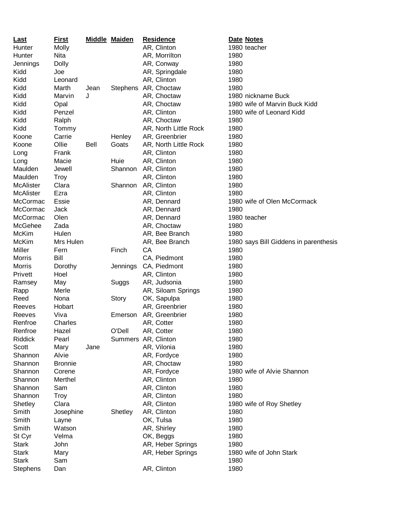| <b>Last</b>      | <b>First</b>   |             | <b>Middle Maiden</b> |    | <b>Residence</b>      |      | Date Notes                            |
|------------------|----------------|-------------|----------------------|----|-----------------------|------|---------------------------------------|
| Hunter           | Molly          |             |                      |    | AR, Clinton           |      | 1980 teacher                          |
| Hunter           | Nita           |             |                      |    | AR, Morrilton         | 1980 |                                       |
| Jennings         | Dolly          |             |                      |    | AR, Conway            | 1980 |                                       |
| Kidd             | Joe            |             |                      |    | AR, Springdale        | 1980 |                                       |
| Kidd             | Leonard        |             |                      |    | AR, Clinton           | 1980 |                                       |
| Kidd             | Marth          | Jean        | <b>Stephens</b>      |    | AR, Choctaw           | 1980 |                                       |
| Kidd             | Marvin         | J           |                      |    | AR, Choctaw           |      | 1980 nickname Buck                    |
| Kidd             | Opal           |             |                      |    | AR, Choctaw           |      | 1980 wife of Marvin Buck Kidd         |
| Kidd             | Penzel         |             |                      |    | AR, Clinton           |      | 1980 wife of Leonard Kidd             |
| Kidd             | Ralph          |             |                      |    | AR, Choctaw           | 1980 |                                       |
| Kidd             | Tommy          |             |                      |    | AR, North Little Rock | 1980 |                                       |
| Koone            | Carrie         |             | Henley               |    | AR, Greenbrier        | 1980 |                                       |
| Koone            | Ollie          | <b>Bell</b> | Goats                |    | AR, North Little Rock | 1980 |                                       |
| Long             | Frank          |             |                      |    | AR, Clinton           | 1980 |                                       |
| Long             | Macie          |             | Huie                 |    | AR, Clinton           | 1980 |                                       |
| Maulden          | Jewell         |             | Shannon              |    | AR, Clinton           | 1980 |                                       |
| Maulden          | <b>Troy</b>    |             |                      |    | AR, Clinton           | 1980 |                                       |
| <b>McAlister</b> | Clara          |             | Shannon              |    | AR, Clinton           | 1980 |                                       |
| <b>McAlister</b> | Ezra           |             |                      |    | AR, Clinton           | 1980 |                                       |
| McCormac         | Essie          |             |                      |    | AR, Dennard           |      | 1980 wife of Olen McCormack           |
| McCormac         | Jack           |             |                      |    | AR, Dennard           | 1980 |                                       |
| McCormac         | Olen           |             |                      |    | AR, Dennard           |      | 1980 teacher                          |
| McGehee          | Zada           |             |                      |    | AR, Choctaw           | 1980 |                                       |
| McKim            | Hulen          |             |                      |    | AR, Bee Branch        | 1980 |                                       |
| <b>McKim</b>     | Mrs Hulen      |             |                      |    | AR, Bee Branch        |      | 1980 says Bill Giddens in parenthesis |
| Miller           | Fern           |             | Finch                | CA |                       | 1980 |                                       |
| Morris           | Bill           |             |                      |    | CA, Piedmont          | 1980 |                                       |
| Morris           | Dorothy        |             | Jennings             |    | CA, Piedmont          | 1980 |                                       |
| Privett          | Hoel           |             |                      |    | AR, Clinton           | 1980 |                                       |
| Ramsey           | May            |             | Suggs                |    | AR, Judsonia          | 1980 |                                       |
| Rapp             | Merle          |             |                      |    | AR, Siloam Springs    | 1980 |                                       |
| Reed             | Nona           |             | Story                |    | OK, Sapulpa           | 1980 |                                       |
| Reeves           | Hobart         |             |                      |    | AR, Greenbrier        | 1980 |                                       |
| Reeves           | Viva           |             | Emerson              |    | AR, Greenbrier        | 1980 |                                       |
| Renfroe          | Charles        |             |                      |    | AR, Cotter            | 1980 |                                       |
| Renfroe          | Hazel          |             | O'Dell               |    | AR, Cotter            | 1980 |                                       |
| <b>Riddick</b>   | Pearl          |             | Summers AR, Clinton  |    |                       | 1980 |                                       |
| Scott            | Mary           | Jane        |                      |    | AR, Vilonia           | 1980 |                                       |
| Shannon          | Alvie          |             |                      |    | AR, Fordyce           | 1980 |                                       |
| Shannon          | <b>Bronnie</b> |             |                      |    | AR, Choctaw           | 1980 |                                       |
| Shannon          | Corene         |             |                      |    | AR, Fordyce           |      | 1980 wife of Alvie Shannon            |
| Shannon          | Merthel        |             |                      |    | AR, Clinton           | 1980 |                                       |
| Shannon          | Sam            |             |                      |    | AR, Clinton           | 1980 |                                       |
| Shannon          | <b>Troy</b>    |             |                      |    | AR, Clinton           | 1980 |                                       |
| Shetley          | Clara          |             |                      |    | AR, Clinton           |      | 1980 wife of Roy Shetley              |
| Smith            | Josephine      |             | Shetley              |    | AR, Clinton           | 1980 |                                       |
| Smith            | Layne          |             |                      |    | OK, Tulsa             | 1980 |                                       |
| Smith            | Watson         |             |                      |    | AR, Shirley           | 1980 |                                       |
| St Cyr           | Velma          |             |                      |    | OK, Beggs             | 1980 |                                       |
| <b>Stark</b>     | John           |             |                      |    | AR, Heber Springs     | 1980 |                                       |
| <b>Stark</b>     | Mary           |             |                      |    | AR, Heber Springs     |      | 1980 wife of John Stark               |
| <b>Stark</b>     | Sam            |             |                      |    |                       | 1980 |                                       |
| <b>Stephens</b>  | Dan            |             |                      |    | AR, Clinton           | 1980 |                                       |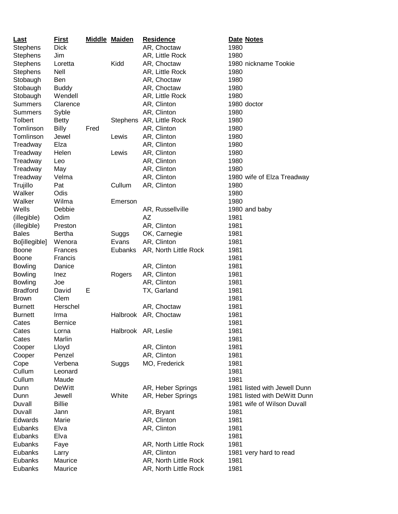| Last            | <b>First</b>   |      | <b>Middle Maiden</b> | <b>Residence</b>         | Date Notes                   |
|-----------------|----------------|------|----------------------|--------------------------|------------------------------|
| <b>Stephens</b> | <b>Dick</b>    |      |                      | AR, Choctaw              | 1980                         |
| <b>Stephens</b> | Jim            |      |                      | AR, Little Rock          | 1980                         |
| <b>Stephens</b> | Loretta        |      | Kidd                 | AR, Choctaw              | 1980 nickname Tookie         |
| <b>Stephens</b> | <b>Nell</b>    |      |                      | AR, Little Rock          | 1980                         |
| Stobaugh        | Ben            |      |                      | AR, Choctaw              | 1980                         |
| Stobaugh        | <b>Buddy</b>   |      |                      | AR, Choctaw              | 1980                         |
| Stobaugh        | Wendell        |      |                      | AR, Little Rock          | 1980                         |
| <b>Summers</b>  | Clarence       |      |                      | AR, Clinton              | 1980 doctor                  |
| <b>Summers</b>  | Syble          |      |                      | AR, Clinton              | 1980                         |
| Tolbert         | <b>Betty</b>   |      |                      | Stephens AR, Little Rock | 1980                         |
| Tomlinson       | <b>Billy</b>   | Fred |                      | AR, Clinton              | 1980                         |
| Tomlinson       | Jewel          |      | Lewis                | AR, Clinton              | 1980                         |
| Treadway        | Elza           |      |                      | AR, Clinton              | 1980                         |
| Treadway        | Helen          |      | Lewis                | AR, Clinton              | 1980                         |
| Treadway        | Leo            |      |                      | AR, Clinton              | 1980                         |
| Treadway        | May            |      |                      | AR, Clinton              | 1980                         |
| Treadway        | Velma          |      |                      | AR, Clinton              | 1980 wife of Elza Treadway   |
| Trujillo        | Pat            |      | Cullum               | AR, Clinton              | 1980                         |
| Walker          | Odis           |      |                      |                          | 1980                         |
| Walker          | Wilma          |      | Emerson              |                          | 1980                         |
| Wells           | Debbie         |      |                      | AR, Russellville         | 1980 and baby                |
| (illegible)     | Odim           |      |                      | <b>AZ</b>                | 1981                         |
| (illegible)     | Preston        |      |                      | AR, Clinton              | 1981                         |
| <b>Bales</b>    | Bertha         |      | Suggs                | OK, Carnegie             | 1981                         |
| Bo[illegible]   | Wenora         |      | Evans                | AR, Clinton              | 1981                         |
| <b>Boone</b>    | Frances        |      | Eubanks              | AR, North Little Rock    | 1981                         |
| <b>Boone</b>    | Francis        |      |                      |                          | 1981                         |
| <b>Bowling</b>  | Danice         |      |                      | AR, Clinton              | 1981                         |
| <b>Bowling</b>  | Inez           |      | Rogers               | AR, Clinton              | 1981                         |
| <b>Bowling</b>  | Joe            |      |                      | AR, Clinton              | 1981                         |
| <b>Bradford</b> | David          | E    |                      | TX, Garland              | 1981                         |
| <b>Brown</b>    | Clem           |      |                      |                          | 1981                         |
| <b>Burnett</b>  | Herschel       |      |                      | AR, Choctaw              | 1981                         |
| <b>Burnett</b>  | Irma           |      | <b>Halbrook</b>      | AR, Choctaw              | 1981                         |
| Cates           | <b>Bernice</b> |      |                      |                          | 1981                         |
| Cates           | Lorna          |      |                      | Halbrook AR, Leslie      | 1981                         |
| Cates           | Marlin         |      |                      |                          | 1981                         |
| Cooper          | Lloyd          |      |                      | AR, Clinton              | 1981                         |
| Cooper          | Penzel         |      |                      | AR, Clinton              | 1981                         |
| Cope            | Verbena        |      | Suggs                | MO, Frederick            | 1981                         |
| Cullum          | Leonard        |      |                      |                          | 1981                         |
| Cullum          | Maude          |      |                      |                          | 1981                         |
| Dunn            | <b>DeWitt</b>  |      |                      | AR, Heber Springs        | 1981 listed with Jewell Dunn |
| Dunn            | Jewell         |      | White                | AR, Heber Springs        | 1981 listed with DeWitt Dunn |
| Duvall          | <b>Billie</b>  |      |                      |                          | 1981 wife of Wilson Duvall   |
| Duvall          | Jann           |      |                      | AR, Bryant               | 1981                         |
| Edwards         | Marie          |      |                      | AR, Clinton              | 1981                         |
| Eubanks         | Elva           |      |                      | AR, Clinton              | 1981                         |
|                 |                |      |                      |                          |                              |
| Eubanks         | Elva           |      |                      |                          | 1981                         |
| Eubanks         | Faye           |      |                      | AR, North Little Rock    | 1981                         |
| Eubanks         | Larry          |      |                      | AR, Clinton              | 1981 very hard to read       |
| Eubanks         | Maurice        |      |                      | AR, North Little Rock    | 1981                         |
| Eubanks         | Maurice        |      |                      | AR, North Little Rock    | 1981                         |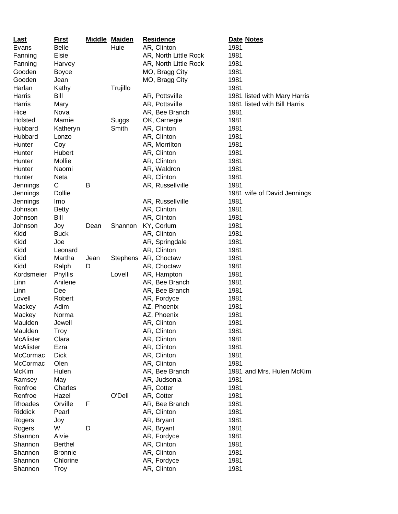| <u>Last</u>      | <u>First</u>   |      | <b>Middle Maiden</b> | <b>Residence</b>      | Date Notes                   |
|------------------|----------------|------|----------------------|-----------------------|------------------------------|
| Evans            | <b>Belle</b>   |      | Huie                 | AR, Clinton           | 1981                         |
| Fanning          | Elsie          |      |                      | AR, North Little Rock | 1981                         |
| Fanning          | Harvey         |      |                      | AR, North Little Rock | 1981                         |
| Gooden           | <b>Boyce</b>   |      |                      | MO, Bragg City        | 1981                         |
| Gooden           | Jean           |      |                      | MO, Bragg City        | 1981                         |
| Harlan           | Kathy          |      | Trujillo             |                       | 1981                         |
| Harris           | Bill           |      |                      | AR, Pottsville        | 1981 listed with Mary Harris |
| Harris           | Mary           |      |                      | AR, Pottsville        | 1981 listed with Bill Harris |
| Hice             | Nova           |      |                      | AR, Bee Branch        | 1981                         |
| Holsted          | Mamie          |      | Suggs                | OK, Carnegie          | 1981                         |
| Hubbard          | Katheryn       |      | Smith                | AR, Clinton           | 1981                         |
| Hubbard          | Lonzo          |      |                      | AR, Clinton           | 1981                         |
| Hunter           | Coy            |      |                      | AR, Morrilton         | 1981                         |
| Hunter           | Hubert         |      |                      | AR, Clinton           | 1981                         |
| Hunter           | Mollie         |      |                      | AR, Clinton           | 1981                         |
| Hunter           | Naomi          |      |                      | AR, Waldron           | 1981                         |
| Hunter           | Neta           |      |                      | AR, Clinton           | 1981                         |
| Jennings         | С              | B    |                      | AR, Russellville      | 1981                         |
| Jennings         | <b>Dollie</b>  |      |                      |                       | 1981 wife of David Jennings  |
| Jennings         | Imo            |      |                      | AR, Russellville      | 1981                         |
| Johnson          | <b>Betty</b>   |      |                      | AR, Clinton           | 1981                         |
| Johnson          | Bill           |      |                      | AR, Clinton           | 1981                         |
| Johnson          | Joy            | Dean | Shannon              | KY, Corlum            | 1981                         |
| Kidd             | <b>Buck</b>    |      |                      | AR, Clinton           | 1981                         |
| Kidd             | Joe            |      |                      | AR, Springdale        | 1981                         |
| Kidd             | Leonard        |      |                      | AR, Clinton           | 1981                         |
| Kidd             | Martha         | Jean | Stephens             | AR, Choctaw           | 1981                         |
| Kidd             | Ralph          | D    |                      | AR, Choctaw           | 1981                         |
| Kordsmeier       | Phyllis        |      | Lovell               | AR, Hampton           | 1981                         |
| Linn             | Anilene        |      |                      | AR, Bee Branch        | 1981                         |
| Linn             | Dee            |      |                      | AR, Bee Branch        | 1981                         |
| Lovell           | Robert         |      |                      | AR, Fordyce           | 1981                         |
| Mackey           | Adim           |      |                      | AZ, Phoenix           | 1981                         |
| Mackey           | Norma          |      |                      | AZ, Phoenix           | 1981                         |
| Maulden          | Jewell         |      |                      | AR, Clinton           | 1981                         |
| Maulden          | Troy           |      |                      | AR, Clinton           | 1981                         |
| <b>McAlister</b> | Clara          |      |                      | AR, Clinton           | 1981                         |
| <b>McAlister</b> | Ezra           |      |                      | AR, Clinton           | 1981                         |
| McCormac         | <b>Dick</b>    |      |                      | AR, Clinton           | 1981                         |
| McCormac         | Olen           |      |                      | AR, Clinton           | 1981                         |
| McKim            | Hulen          |      |                      | AR, Bee Branch        | 1981 and Mrs. Hulen McKim    |
| Ramsey           | May            |      |                      | AR, Judsonia          | 1981                         |
| Renfroe          | Charles        |      |                      | AR, Cotter            | 1981                         |
| Renfroe          | Hazel          |      | O'Dell               | AR, Cotter            | 1981                         |
| Rhoades          | Orville        | F    |                      | AR, Bee Branch        | 1981                         |
| Riddick          | Pearl          |      |                      | AR, Clinton           | 1981                         |
| Rogers           | Joy            |      |                      | AR, Bryant            | 1981                         |
| Rogers           | W              | D    |                      | AR, Bryant            | 1981                         |
| Shannon          | Alvie          |      |                      | AR, Fordyce           | 1981                         |
| Shannon          | <b>Berthel</b> |      |                      | AR, Clinton           | 1981                         |
| Shannon          | <b>Bronnie</b> |      |                      | AR, Clinton           | 1981                         |
| Shannon          | Chlorine       |      |                      | AR, Fordyce           | 1981                         |
| Shannon          | Troy           |      |                      | AR, Clinton           | 1981                         |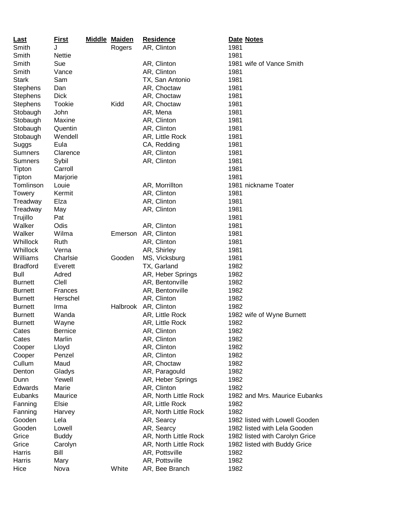| Last            | <b>First</b>   | <b>Middle Maiden</b> | <b>Residence</b>           | Date Notes                     |
|-----------------|----------------|----------------------|----------------------------|--------------------------------|
| Smith           | J              | Rogers               | AR, Clinton                | 1981                           |
| Smith           | <b>Nettie</b>  |                      |                            | 1981                           |
| Smith           | Sue            |                      | AR, Clinton                | 1981 wife of Vance Smith       |
| Smith           | Vance          |                      | AR, Clinton                | 1981                           |
| <b>Stark</b>    | Sam            |                      | TX, San Antonio            | 1981                           |
| <b>Stephens</b> | Dan            |                      | AR, Choctaw                | 1981                           |
| <b>Stephens</b> | <b>Dick</b>    |                      | AR, Choctaw                | 1981                           |
| <b>Stephens</b> | Tookie         | Kidd                 | AR, Choctaw                | 1981                           |
| Stobaugh        | John           |                      | AR, Mena                   | 1981                           |
| Stobaugh        | Maxine         |                      | AR, Clinton                | 1981                           |
| Stobaugh        | Quentin        |                      | AR, Clinton                | 1981                           |
| Stobaugh        | Wendell        |                      | AR, Little Rock            | 1981                           |
| Suggs           | Eula           |                      | CA, Redding                | 1981                           |
| <b>Sumners</b>  | Clarence       |                      | AR, Clinton                | 1981                           |
| <b>Sumners</b>  | Sybil          |                      | AR, Clinton                | 1981                           |
| Tipton          | Carroll        |                      |                            | 1981                           |
| Tipton          | Marjorie       |                      |                            | 1981                           |
| Tomlinson       | Louie          |                      | AR, Morrillton             | 1981 nickname Toater           |
| Towery          | Kermit         |                      | AR, Clinton                | 1981                           |
| Treadway        | Elza           |                      | AR, Clinton                | 1981                           |
| Treadway        | May            |                      | AR, Clinton                | 1981                           |
| Trujillo        | Pat            |                      |                            | 1981                           |
| Walker          | Odis           |                      |                            | 1981                           |
| Walker          | Wilma          |                      | AR, Clinton<br>AR, Clinton |                                |
|                 |                | Emerson              |                            | 1981                           |
| Whillock        | Ruth           |                      | AR, Clinton                | 1981                           |
| Whillock        | Verna          |                      | AR, Shirley                | 1981                           |
| Williams        | Charlsie       | Gooden               | MS, Vicksburg              | 1981                           |
| <b>Bradford</b> | Everett        |                      | TX, Garland                | 1982                           |
| Bull            | Adred          |                      | AR, Heber Springs          | 1982                           |
| <b>Burnett</b>  | Clell          |                      | AR, Bentonville            | 1982                           |
| <b>Burnett</b>  | Frances        |                      | AR, Bentonville            | 1982                           |
| <b>Burnett</b>  | Herschel       |                      | AR, Clinton                | 1982                           |
| <b>Burnett</b>  | Irma           | Halbrook             | AR, Clinton                | 1982                           |
| <b>Burnett</b>  | Wanda          |                      | AR, Little Rock            | 1982 wife of Wyne Burnett      |
| <b>Burnett</b>  | Wayne          |                      | AR, Little Rock            | 1982                           |
| Cates           | <b>Bernice</b> |                      | AR, Clinton                | 1982                           |
| Cates           | Marlin         |                      | AR, Clinton                | 1982                           |
| Cooper          | Lloyd          |                      | AR, Clinton                | 1982                           |
| Cooper          | Penzel         |                      | AR, Clinton                | 1982                           |
| Cullum          | Maud           |                      | AR, Choctaw                | 1982                           |
| Denton          | Gladys         |                      | AR, Paragould              | 1982                           |
| Dunn            | Yewell         |                      | AR, Heber Springs          | 1982                           |
| Edwards         | Marie          |                      | AR, Clinton                | 1982                           |
| Eubanks         | Maurice        |                      | AR, North Little Rock      | 1982 and Mrs. Maurice Eubanks  |
| Fanning         | Elsie          |                      | AR, Little Rock            | 1982                           |
| Fanning         | Harvey         |                      | AR, North Little Rock      | 1982                           |
| Gooden          | Lela           |                      | AR, Searcy                 | 1982 listed with Lowell Gooden |
| Gooden          | Lowell         |                      | AR, Searcy                 | 1982 listed with Lela Gooden   |
| Grice           | <b>Buddy</b>   |                      | AR, North Little Rock      | 1982 listed with Carolyn Grice |
| Grice           | Carolyn        |                      | AR, North Little Rock      | 1982 listed with Buddy Grice   |
| Harris          | Bill           |                      | AR, Pottsville             | 1982                           |
| Harris          | Mary           |                      | AR, Pottsville             | 1982                           |
| Hice            | Nova           | White                | AR, Bee Branch             | 1982                           |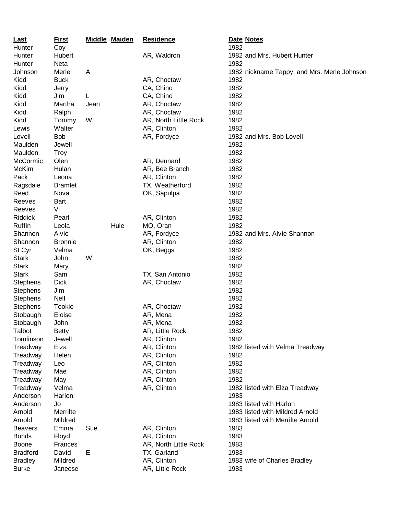| <b>Last</b>     | <u>First</u>   |      | <b>Middle Maiden</b> | <b>Residence</b>      | Date Notes                                  |
|-----------------|----------------|------|----------------------|-----------------------|---------------------------------------------|
| Hunter          | Coy            |      |                      |                       | 1982                                        |
| Hunter          | Hubert         |      |                      | AR, Waldron           | 1982 and Mrs. Hubert Hunter                 |
| Hunter          | Neta           |      |                      |                       | 1982                                        |
| Johnson         | Merle          | Α    |                      |                       | 1982 nickname Tappy; and Mrs. Merle Johnson |
| Kidd            | <b>Buck</b>    |      |                      | AR, Choctaw           | 1982                                        |
| Kidd            | Jerry          |      |                      | CA, Chino             | 1982                                        |
| Kidd            | Jim            | L    |                      | CA, Chino             | 1982                                        |
| Kidd            | Martha         | Jean |                      | AR, Choctaw           | 1982                                        |
| Kidd            | Ralph          |      |                      | AR, Choctaw           | 1982                                        |
| Kidd            | Tommy          | W    |                      | AR, North Little Rock | 1982                                        |
| Lewis           | Walter         |      |                      | AR, Clinton           | 1982                                        |
| Lovell          | <b>Bob</b>     |      |                      | AR, Fordyce           | 1982 and Mrs. Bob Lovell                    |
| Maulden         | Jewell         |      |                      |                       | 1982                                        |
| Maulden         | <b>Troy</b>    |      |                      |                       | 1982                                        |
| McCormic        | Olen           |      |                      | AR, Dennard           | 1982                                        |
| McKim           | Hulan          |      |                      | AR, Bee Branch        | 1982                                        |
| Pack            | Leona          |      |                      | AR, Clinton           | 1982                                        |
| Ragsdale        | <b>Bramlet</b> |      |                      | TX, Weatherford       | 1982                                        |
| Reed            | Nova           |      |                      | OK, Sapulpa           | 1982                                        |
| Reeves          | <b>Bart</b>    |      |                      |                       | 1982                                        |
| Reeves          | Vi             |      |                      |                       | 1982                                        |
| Riddick         | Pearl          |      |                      | AR, Clinton           | 1982                                        |
| Ruffin          | Leola          |      | Huie                 | MO, Oran              | 1982                                        |
| Shannon         | Alvie          |      |                      | AR, Fordyce           | 1982 and Mrs. Alvie Shannon                 |
| Shannon         | <b>Bronnie</b> |      |                      | AR, Clinton           | 1982                                        |
| St Cyr          | Velma          |      |                      | OK, Beggs             | 1982                                        |
| <b>Stark</b>    | John           | W    |                      |                       | 1982                                        |
| <b>Stark</b>    | Mary           |      |                      |                       | 1982                                        |
| <b>Stark</b>    | Sam            |      |                      | TX, San Antonio       | 1982                                        |
| <b>Stephens</b> | <b>Dick</b>    |      |                      | AR, Choctaw           | 1982                                        |
| <b>Stephens</b> | Jim            |      |                      |                       | 1982                                        |
| <b>Stephens</b> | Nell           |      |                      |                       | 1982                                        |
| <b>Stephens</b> | Tookie         |      |                      | AR, Choctaw           | 1982                                        |
| Stobaugh        | Eloise         |      |                      | AR, Mena              | 1982                                        |
| Stobaugh        | John           |      |                      | AR, Mena              | 1982                                        |
| Talbot          | <b>Betty</b>   |      |                      | AR, Little Rock       | 1982                                        |
| Tomlinson       | Jewell         |      |                      | AR, Clinton           | 1982                                        |
| Treadway        | Elza           |      |                      | AR, Clinton           | 1982 listed with Velma Treadway             |
| Treadway        | Helen          |      |                      | AR, Clinton           | 1982                                        |
| Treadway        | Leo            |      |                      | AR, Clinton           | 1982                                        |
| Treadway        | Mae            |      |                      | AR, Clinton           | 1982                                        |
| Treadway        | May            |      |                      | AR, Clinton           | 1982                                        |
| Treadway        | Velma          |      |                      | AR, Clinton           | 1982 listed with Elza Treadway              |
| Anderson        | Harlon         |      |                      |                       | 1983                                        |
| Anderson        | Jo             |      |                      |                       | 1983 listed with Harlon                     |
| Arnold          | Merrilte       |      |                      |                       | 1983 listed with Mildred Arnold             |
| Arnold          | Mildred        |      |                      |                       | 1983 listed with Merrilte Arnold            |
| <b>Beavers</b>  | Emma           | Sue  |                      | AR, Clinton           | 1983                                        |
| <b>Bonds</b>    | Floyd          |      |                      | AR, Clinton           | 1983                                        |
| <b>Boone</b>    | Frances        |      |                      | AR, North Little Rock | 1983                                        |
| <b>Bradford</b> | David          | Е    |                      | TX, Garland           | 1983                                        |
| <b>Bradley</b>  | Mildred        |      |                      | AR, Clinton           | 1983 wife of Charles Bradley                |
| <b>Burke</b>    | Janeese        |      |                      | AR, Little Rock       | 1983                                        |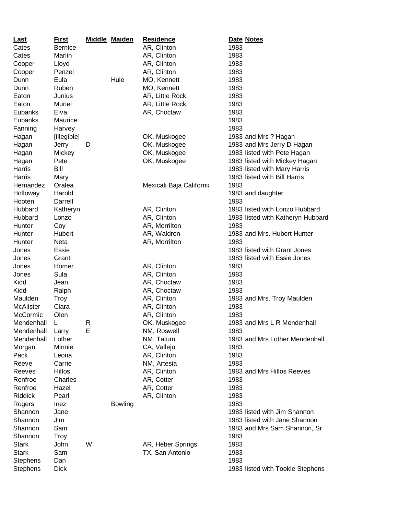| <b>Last</b>     | <b>First</b>   |   | <b>Middle Maiden</b> | <b>Residence</b>         | Date Notes                        |
|-----------------|----------------|---|----------------------|--------------------------|-----------------------------------|
| Cates           | <b>Bernice</b> |   |                      | AR, Clinton              | 1983                              |
| Cates           | Marlin         |   |                      | AR, Clinton              | 1983                              |
| Cooper          | Lloyd          |   |                      | AR, Clinton              | 1983                              |
| Cooper          | Penzel         |   |                      | AR, Clinton              | 1983                              |
| Dunn            | Eula           |   | Huie                 | MO, Kennett              | 1983                              |
| Dunn            | Ruben          |   |                      | MO, Kennett              | 1983                              |
| Eaton           | Junius         |   |                      | AR, Little Rock          | 1983                              |
| Eaton           | Muriel         |   |                      | AR, Little Rock          | 1983                              |
| Eubanks         | Elva           |   |                      | AR, Choctaw              | 1983                              |
| Eubanks         | Maurice        |   |                      |                          | 1983                              |
| Fanning         | Harvey         |   |                      |                          | 1983                              |
| Hagan           | [illegible]    |   |                      | OK, Muskogee             | 1983 and Mrs? Hagan               |
| Hagan           | Jerry          | D |                      | OK, Muskogee             | 1983 and Mrs Jerry D Hagan        |
| Hagan           | Mickey         |   |                      | OK, Muskogee             | 1983 listed with Pete Hagan       |
| Hagan           | Pete           |   |                      | OK, Muskogee             | 1983 listed with Mickey Hagan     |
| Harris          | Bill           |   |                      |                          | 1983 listed with Mary Harris      |
| Harris          |                |   |                      |                          | 1983 listed with Bill Harris      |
|                 | Mary           |   |                      |                          |                                   |
| Hernandez       | Oralea         |   |                      | Mexicali Baja California | 1983                              |
| Holloway        | Harold         |   |                      |                          | 1983 and daughter                 |
| Hooten          | Darrell        |   |                      |                          | 1983                              |
| Hubbard         | Katheryn       |   |                      | AR, Clinton              | 1983 listed with Lonzo Hubbard    |
| Hubbard         | Lonzo          |   |                      | AR, Clinton              | 1983 listed with Katheryn Hubbard |
| Hunter          | Coy            |   |                      | AR, Morrilton            | 1983                              |
| Hunter          | Hubert         |   |                      | AR, Waldron              | 1983 and Mrs. Hubert Hunter       |
| Hunter          | Neta           |   |                      | AR, Morrilton            | 1983                              |
| Jones           | Essie          |   |                      |                          | 1983 listed with Grant Jones      |
| Jones           | Grant          |   |                      |                          | 1983 listed with Essie Jones      |
| Jones           | Homer          |   |                      | AR, Clinton              | 1983                              |
| Jones           | Sula           |   |                      | AR, Clinton              | 1983                              |
| Kidd            | Jean           |   |                      | AR, Choctaw              | 1983                              |
| Kidd            | Ralph          |   |                      | AR, Choctaw              | 1983                              |
| Maulden         | <b>Troy</b>    |   |                      | AR, Clinton              | 1983 and Mrs. Troy Maulden        |
| McAlister       | Clara          |   |                      | AR, Clinton              | 1983                              |
| McCormic        | Olen           |   |                      | AR, Clinton              | 1983                              |
| Mendenhall      | L              | R |                      | OK, Muskogee             | 1983 and Mrs L R Mendenhall       |
| Mendenhall      | Larry          | Е |                      | NM, Roswell              | 1983                              |
| Mendenhall      | Lother         |   |                      | NM, Tatum                | 1983 and Mrs Lother Mendenhall    |
| Morgan          | Minnie         |   |                      | CA, Vallejo              | 1983                              |
| Pack            | Leona          |   |                      | AR, Clinton              | 1983                              |
| Reeve           | Carrie         |   |                      | NM, Artesia              | 1983                              |
| Reeves          | <b>Hillos</b>  |   |                      | AR, Clinton              | 1983 and Mrs Hillos Reeves        |
| Renfroe         | Charles        |   |                      | AR, Cotter               | 1983                              |
| Renfroe         | Hazel          |   |                      | AR, Cotter               | 1983                              |
| <b>Riddick</b>  | Pearl          |   |                      | AR, Clinton              | 1983                              |
| Rogers          | Inez           |   | <b>Bowling</b>       |                          | 1983                              |
| Shannon         | Jane           |   |                      |                          | 1983 listed with Jim Shannon      |
| Shannon         | Jim            |   |                      |                          | 1983 listed with Jane Shannon     |
| Shannon         | Sam            |   |                      |                          | 1983 and Mrs Sam Shannon, Sr      |
| Shannon         | <b>Troy</b>    |   |                      |                          | 1983                              |
| <b>Stark</b>    | John           | W |                      | AR, Heber Springs        | 1983                              |
| <b>Stark</b>    | Sam            |   |                      | TX, San Antonio          | 1983                              |
| <b>Stephens</b> | Dan            |   |                      |                          | 1983                              |
| <b>Stephens</b> | <b>Dick</b>    |   |                      |                          | 1983 listed with Tookie Stephens  |
|                 |                |   |                      |                          |                                   |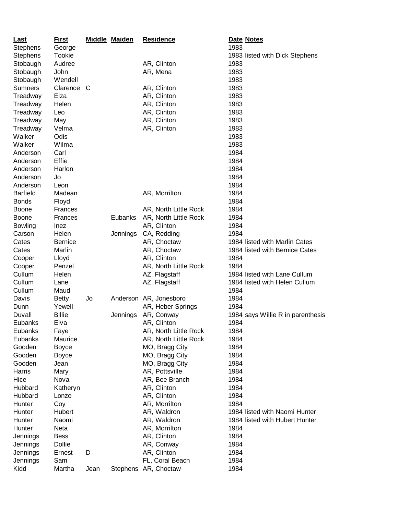| Last             | <b>First</b>   |      | <b>Middle Maiden</b> | <b>Residence</b>       | Date Notes                        |
|------------------|----------------|------|----------------------|------------------------|-----------------------------------|
| <b>Stephens</b>  | George         |      |                      |                        | 1983                              |
| <b>Stephens</b>  | Tookie         |      |                      |                        | 1983 listed with Dick Stephens    |
| Stobaugh         | Audree         |      |                      | AR, Clinton            | 1983                              |
| Stobaugh         | John           |      |                      | AR, Mena               | 1983                              |
| Stobaugh         | Wendell        |      |                      |                        | 1983                              |
| <b>Sumners</b>   | Clarence C     |      |                      | AR, Clinton            | 1983                              |
| Treadway         | Elza           |      |                      | AR, Clinton            | 1983                              |
| Treadway         | Helen          |      |                      | AR, Clinton            | 1983                              |
| Treadway         | Leo            |      |                      | AR, Clinton            | 1983                              |
| Treadway         | May            |      |                      | AR, Clinton            | 1983                              |
| Treadway         | Velma          |      |                      | AR, Clinton            | 1983                              |
| Walker           | Odis           |      |                      |                        | 1983                              |
| Walker           | Wilma          |      |                      |                        | 1983                              |
| Anderson         | Carl           |      |                      |                        | 1984                              |
| Anderson         | Effie          |      |                      |                        | 1984                              |
| Anderson         | Harlon         |      |                      |                        | 1984                              |
| Anderson         | Jo             |      |                      |                        | 1984                              |
| Anderson         | Leon           |      |                      |                        | 1984                              |
| <b>Barfield</b>  | Madean         |      |                      | AR, Morrilton          | 1984                              |
| <b>Bonds</b>     | Floyd          |      |                      |                        | 1984                              |
| <b>Boone</b>     | Frances        |      |                      | AR, North Little Rock  | 1984                              |
| <b>Boone</b>     | Frances        |      | Eubanks              | AR, North Little Rock  | 1984                              |
| <b>Bowling</b>   | Inez           |      |                      | AR, Clinton            | 1984                              |
| Carson           | Helen          |      | Jennings             | CA, Redding            | 1984                              |
| Cates            | <b>Bernice</b> |      |                      | AR, Choctaw            | 1984 listed with Marlin Cates     |
| Cates            | Marlin         |      |                      | AR, Choctaw            | 1984 listed with Bernice Cates    |
| Cooper           | Lloyd          |      |                      | AR, Clinton            | 1984                              |
|                  | Penzel         |      |                      | AR, North Little Rock  | 1984                              |
| Cooper<br>Cullum |                |      |                      |                        | 1984 listed with Lane Cullum      |
| Cullum           | Helen          |      |                      | AZ, Flagstaff          |                                   |
|                  | Lane           |      |                      | AZ, Flagstaff          | 1984 listed with Helen Cullum     |
| Cullum           | Maud           |      |                      |                        | 1984                              |
| Davis            | <b>Betty</b>   | Jo   |                      | Anderson AR, Jonesboro | 1984                              |
| Dunn             | Yewell         |      |                      | AR, Heber Springs      | 1984                              |
| Duvall           | <b>Billie</b>  |      | Jennings             | AR, Conway             | 1984 says Willie R in parenthesis |
| Eubanks          | Elva           |      |                      | AR, Clinton            | 1984                              |
| Eubanks          | Faye           |      |                      | AR, North Little Rock  | 1984                              |
| Eubanks          | Maurice        |      |                      | AR, North Little Rock  | 1984                              |
| Gooden           | <b>Boyce</b>   |      |                      | MO, Bragg City         | 1984                              |
| Gooden           | <b>Boyce</b>   |      |                      | MO, Bragg City         | 1984                              |
| Gooden           | Jean           |      |                      | MO, Bragg City         | 1984                              |
| Harris           | Mary           |      |                      | AR, Pottsville         | 1984                              |
| Hice             | Nova           |      |                      | AR, Bee Branch         | 1984                              |
| Hubbard          | Katheryn       |      |                      | AR, Clinton            | 1984                              |
| Hubbard          | Lonzo          |      |                      | AR, Clinton            | 1984                              |
| Hunter           | Coy            |      |                      | AR, Morrilton          | 1984                              |
| Hunter           | Hubert         |      |                      | AR, Waldron            | 1984 listed with Naomi Hunter     |
| Hunter           | Naomi          |      |                      | AR, Waldron            | 1984 listed with Hubert Hunter    |
| Hunter           | Neta           |      |                      | AR, Morrilton          | 1984                              |
| Jennings         | <b>Bess</b>    |      |                      | AR, Clinton            | 1984                              |
| Jennings         | Dollie         |      |                      | AR, Conway             | 1984                              |
| Jennings         | Ernest         | D    |                      | AR, Clinton            | 1984                              |
| Jennings         | Sam            |      |                      | FL, Coral Beach        | 1984                              |
| Kidd             | Martha         | Jean |                      | Stephens AR, Choctaw   | 1984                              |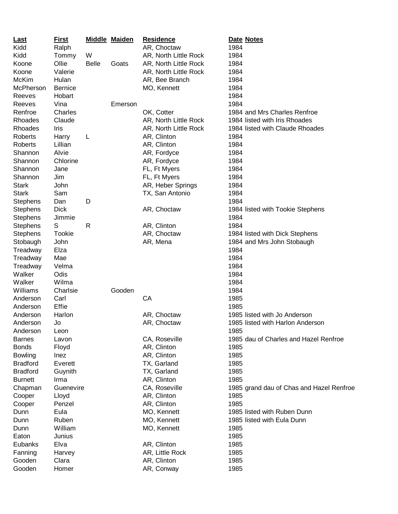| <b>Last</b>     | <b>First</b>   |              | <b>Middle Maiden</b> | <b>Residence</b>      | Date Notes                               |
|-----------------|----------------|--------------|----------------------|-----------------------|------------------------------------------|
| Kidd            | Ralph          |              |                      | AR, Choctaw           | 1984                                     |
| Kidd            | Tommy          | W            |                      | AR, North Little Rock | 1984                                     |
| Koone           | Ollie          | <b>Belle</b> | Goats                | AR, North Little Rock | 1984                                     |
| Koone           | Valerie        |              |                      | AR, North Little Rock | 1984                                     |
| <b>McKim</b>    | Hulan          |              |                      | AR, Bee Branch        | 1984                                     |
| McPherson       | <b>Bernice</b> |              |                      | MO, Kennett           | 1984                                     |
| Reeves          | Hobart         |              |                      |                       | 1984                                     |
| Reeves          | Vina           |              | Emerson              |                       | 1984                                     |
| Renfroe         | Charles        |              |                      | OK, Cotter            | 1984 and Mrs Charles Renfroe             |
| Rhoades         | Claude         |              |                      | AR, North Little Rock | 1984 listed with Iris Rhoades            |
| Rhoades         | Iris           |              |                      | AR, North Little Rock | 1984 listed with Claude Rhoades          |
| <b>Roberts</b>  | Harry          | L            |                      | AR, Clinton           | 1984                                     |
| Roberts         | Lillian        |              |                      | AR, Clinton           | 1984                                     |
| Shannon         | Alvie          |              |                      | AR, Fordyce           | 1984                                     |
| Shannon         | Chlorine       |              |                      | AR, Fordyce           | 1984                                     |
| Shannon         | Jane           |              |                      | FL, Ft Myers          | 1984                                     |
| Shannon         | Jim            |              |                      | FL, Ft Myers          | 1984                                     |
| <b>Stark</b>    | John           |              |                      | AR, Heber Springs     | 1984                                     |
| <b>Stark</b>    | Sam            |              |                      | TX, San Antonio       | 1984                                     |
| <b>Stephens</b> | Dan            | D            |                      |                       | 1984                                     |
| <b>Stephens</b> | <b>Dick</b>    |              |                      | AR, Choctaw           | 1984 listed with Tookie Stephens         |
| <b>Stephens</b> | Jimmie         |              |                      |                       | 1984                                     |
| <b>Stephens</b> | S              | R            |                      | AR, Clinton           | 1984                                     |
| <b>Stephens</b> | Tookie         |              |                      | AR, Choctaw           | 1984 listed with Dick Stephens           |
| Stobaugh        | John           |              |                      | AR, Mena              | 1984 and Mrs John Stobaugh               |
| Treadway        | Elza           |              |                      |                       | 1984                                     |
| Treadway        | Mae            |              |                      |                       | 1984                                     |
| Treadway        | Velma          |              |                      |                       | 1984                                     |
| Walker          | Odis           |              |                      |                       | 1984                                     |
| Walker          | Wilma          |              |                      |                       | 1984                                     |
| Williams        | Charlsie       |              | Gooden               |                       | 1984                                     |
| Anderson        | Carl           |              |                      | CA                    | 1985                                     |
| Anderson        | Effie          |              |                      |                       | 1985                                     |
| Anderson        | Harlon         |              |                      | AR, Choctaw           | 1985 listed with Jo Anderson             |
| Anderson        | Jo             |              |                      | AR, Choctaw           | 1985 listed with Harlon Anderson         |
| Anderson        | Leon           |              |                      |                       | 1985                                     |
| <b>Barnes</b>   | Lavon          |              |                      | CA, Roseville         | 1985 dau of Charles and Hazel Renfroe    |
| <b>Bonds</b>    | Floyd          |              |                      | AR, Clinton           | 1985                                     |
| Bowling         | Inez           |              |                      | AR, Clinton           | 1985                                     |
| <b>Bradford</b> | Everett        |              |                      | TX, Garland           | 1985                                     |
| <b>Bradford</b> | Guynith        |              |                      | TX, Garland           | 1985                                     |
| <b>Burnett</b>  | Irma           |              |                      | AR, Clinton           | 1985                                     |
| Chapman         | Guenevire      |              |                      | CA, Roseville         | 1985 grand dau of Chas and Hazel Renfroe |
| Cooper          | Lloyd          |              |                      | AR, Clinton           | 1985                                     |
| Cooper          | Penzel         |              |                      | AR, Clinton           | 1985                                     |
| Dunn            | Eula           |              |                      | MO, Kennett           | 1985 listed with Ruben Dunn              |
| Dunn            | Ruben          |              |                      | MO, Kennett           | 1985 listed with Eula Dunn               |
| Dunn            | William        |              |                      | MO, Kennett           | 1985                                     |
| Eaton           | Junius         |              |                      |                       | 1985                                     |
| Eubanks         | Elva           |              |                      | AR, Clinton           | 1985                                     |
| Fanning         | Harvey         |              |                      | AR, Little Rock       | 1985                                     |
| Gooden          | Clara          |              |                      | AR, Clinton           | 1985                                     |
| Gooden          | Homer          |              |                      | AR, Conway            | 1985                                     |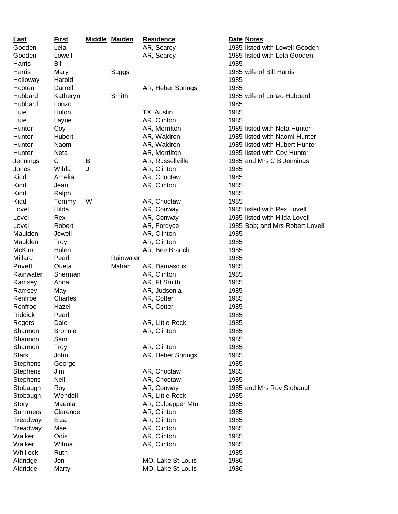| <u>Last</u>     | <u>First</u>   |   | <b>Middle Maiden</b> | <b>Residence</b>          |      | Date Notes                      |
|-----------------|----------------|---|----------------------|---------------------------|------|---------------------------------|
| Gooden          | Lela           |   |                      | AR, Searcy                |      | 1985 listed with Lowell Gooden  |
| Gooden          | Lowell         |   |                      | AR, Searcy                |      | 1985 listed with Lela Gooden    |
| Harris          | Bill           |   |                      |                           | 1985 |                                 |
| Harris          | Mary           |   | Suggs                |                           |      | 1985 wife of Bill Harris        |
| Holloway        | Harold         |   |                      |                           | 1985 |                                 |
| Hooten          | Darrell        |   |                      | AR, Heber Springs         | 1985 |                                 |
| Hubbard         | Katheryn       |   | Smith                |                           |      | 1985 wife of Lonzo Hubbard      |
| Hubbard         | Lonzo          |   |                      |                           | 1985 |                                 |
| Huie            | Hulon          |   |                      | TX, Austin                | 1985 |                                 |
| Huie            | Layne          |   |                      | AR, Clinton               | 1985 |                                 |
| Hunter          | Coy            |   |                      | AR, Morrilton             |      | 1985 listed with Neta Hunter    |
| Hunter          | Hubert         |   |                      | AR, Waldron               |      | 1985 listed with Naomi Hunter   |
| Hunter          | Naomi          |   |                      | AR, Waldron               |      | 1985 listed with Hubert Hunter  |
| Hunter          | Neta           |   |                      | AR, Morrilton             |      | 1985 listed with Coy Hunter     |
| Jennings        | C              | B |                      | AR, Russellville          |      | 1985 and Mrs C B Jennings       |
| Jones           | Wilda          | J |                      | AR, Clinton               | 1985 |                                 |
| Kidd            | Amelia         |   |                      | AR, Choctaw               | 1985 |                                 |
| Kidd            | Jean           |   |                      | AR, Clinton               | 1985 |                                 |
| Kidd            | Ralph          |   |                      |                           | 1985 |                                 |
| Kidd            | Tommy          | W |                      | AR, Choctaw               | 1985 |                                 |
| Lovell          | Hilda          |   |                      | AR, Conway                |      | 1985 listed with Rex Lovell     |
| Lovell          | Rex            |   |                      |                           |      | 1985 listed with Hilda Lovell   |
| Lovell          |                |   |                      | AR, Conway<br>AR, Fordyce |      |                                 |
|                 | Robert         |   |                      |                           |      | 1985 Bob; and Mrs Robert Lovell |
| Maulden         | Jewell         |   |                      | AR, Clinton               | 1985 |                                 |
| Maulden         | Troy           |   |                      | AR, Clinton               | 1985 |                                 |
| <b>McKim</b>    | Hulen          |   |                      | AR, Bee Branch            | 1985 |                                 |
| Millard         | Pearl          |   | Rainwater            |                           | 1985 |                                 |
| Privett         | Oueta          |   | Mahan                | AR, Damascus              | 1985 |                                 |
| Rainwater       | Sherman        |   |                      | AR, Clinton               | 1985 |                                 |
| Ramsey          | Anna           |   |                      | AR, Ft Smith              | 1985 |                                 |
| Ramsey          | May            |   |                      | AR, Judsonia              | 1985 |                                 |
| Renfroe         | Charles        |   |                      | AR, Cotter                | 1985 |                                 |
| Renfroe         | Hazel          |   |                      | AR, Cotter                | 1985 |                                 |
| <b>Riddick</b>  | Pearl          |   |                      |                           | 1985 |                                 |
| Rogers          | Dale           |   |                      | AR, Little Rock           | 1985 |                                 |
| Shannon         | <b>Bronnie</b> |   |                      | AR, Clinton               | 1985 |                                 |
| Shannon         | Sam            |   |                      |                           | 1985 |                                 |
| Shannon         | <b>Troy</b>    |   |                      | AR, Clinton               | 1985 |                                 |
| <b>Stark</b>    | John           |   |                      | AR, Heber Springs         | 1985 |                                 |
| Stephens        | George         |   |                      |                           | 1985 |                                 |
| <b>Stephens</b> | Jim            |   |                      | AR, Choctaw               | 1985 |                                 |
| <b>Stephens</b> | Nell           |   |                      | AR, Choctaw               | 1985 |                                 |
| Stobaugh        | Roy            |   |                      | AR, Conway                |      | 1985 and Mrs Roy Stobaugh       |
| Stobaugh        | Wendell        |   |                      | AR, Little Rock           | 1985 |                                 |
| Story           | Maeola         |   |                      | AR, Culpepper Mtn         | 1985 |                                 |
| <b>Summers</b>  | Clarence       |   |                      | AR, Clinton               | 1985 |                                 |
| Treadway        | Elza           |   |                      | AR, Clinton               | 1985 |                                 |
| Treadway        | Mae            |   |                      | AR, Clinton               | 1985 |                                 |
| Walker          | Odis           |   |                      | AR, Clinton               | 1985 |                                 |
| Walker          | Wilma          |   |                      | AR, Clinton               | 1985 |                                 |
| Whillock        | Ruth           |   |                      |                           | 1985 |                                 |
| Aldridge        | Jon            |   |                      | MO, Lake St Louis         | 1986 |                                 |
| Aldridge        | Marty          |   |                      | MO, Lake St Louis         | 1986 |                                 |
|                 |                |   |                      |                           |      |                                 |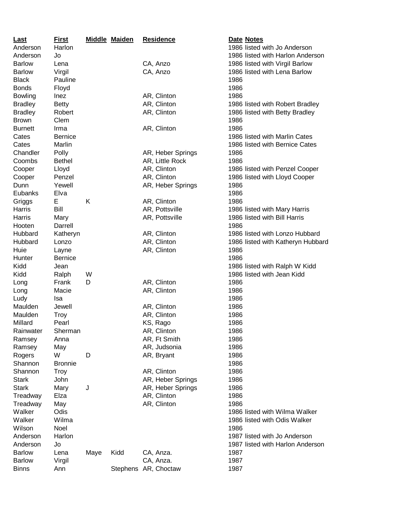| Last           | <u>First</u>   |      | <b>Middle Maiden</b> | <b>Residence</b>     | Date Notes                        |
|----------------|----------------|------|----------------------|----------------------|-----------------------------------|
| Anderson       | Harlon         |      |                      |                      | 1986 listed with Jo Anderson      |
| Anderson       | Jo             |      |                      |                      | 1986 listed with Harlon Anderson  |
| <b>Barlow</b>  | Lena           |      |                      | CA, Anzo             | 1986 listed with Virgil Barlow    |
| <b>Barlow</b>  | Virgil         |      |                      | CA, Anzo             | 1986 listed with Lena Barlow      |
| <b>Black</b>   | Pauline        |      |                      |                      | 1986                              |
| <b>Bonds</b>   | Floyd          |      |                      |                      | 1986                              |
| <b>Bowling</b> | Inez           |      |                      | AR, Clinton          | 1986                              |
| <b>Bradley</b> | <b>Betty</b>   |      |                      | AR, Clinton          | 1986 listed with Robert Bradley   |
| <b>Bradley</b> | Robert         |      |                      | AR, Clinton          | 1986 listed with Betty Bradley    |
| <b>Brown</b>   | Clem           |      |                      |                      | 1986                              |
| <b>Burnett</b> | Irma           |      |                      | AR, Clinton          | 1986                              |
| Cates          | <b>Bernice</b> |      |                      |                      | 1986 listed with Marlin Cates     |
| Cates          | Marlin         |      |                      |                      | 1986 listed with Bernice Cates    |
| Chandler       | Polly          |      |                      | AR, Heber Springs    | 1986                              |
| Coombs         | <b>Bethel</b>  |      |                      | AR, Little Rock      | 1986                              |
| Cooper         | Lloyd          |      |                      | AR, Clinton          | 1986 listed with Penzel Cooper    |
| Cooper         | Penzel         |      |                      | AR, Clinton          | 1986 listed with Lloyd Cooper     |
| Dunn           | Yewell         |      |                      | AR, Heber Springs    | 1986                              |
| Eubanks        | Elva           |      |                      |                      | 1986                              |
| Griggs         | E              | Κ    |                      | AR, Clinton          | 1986                              |
| Harris         | Bill           |      |                      | AR, Pottsville       | 1986 listed with Mary Harris      |
| Harris         | Mary           |      |                      | AR, Pottsville       | 1986 listed with Bill Harris      |
| Hooten         | Darrell        |      |                      |                      | 1986                              |
| Hubbard        | Katheryn       |      |                      | AR, Clinton          | 1986 listed with Lonzo Hubbard    |
| Hubbard        | Lonzo          |      |                      | AR, Clinton          | 1986 listed with Katheryn Hubbard |
| Huie           | Layne          |      |                      | AR, Clinton          | 1986                              |
| Hunter         | <b>Bernice</b> |      |                      |                      | 1986                              |
| Kidd           | Jean           |      |                      |                      | 1986 listed with Ralph W Kidd     |
| Kidd           | Ralph          | W    |                      |                      | 1986 listed with Jean Kidd        |
| Long           | Frank          | D    |                      | AR, Clinton          | 1986                              |
| Long           | Macie          |      |                      | AR, Clinton          | 1986                              |
| Ludy           | Isa            |      |                      |                      | 1986                              |
| Maulden        | Jewell         |      |                      | AR, Clinton          | 1986                              |
| Maulden        | <b>Troy</b>    |      |                      | AR, Clinton          | 1986                              |
| Millard        | Pearl          |      |                      | KS, Rago             | 1986                              |
| Rainwater      | Sherman        |      |                      | AR, Clinton          | 1986                              |
| Ramsey         | Anna           |      |                      | AR, Ft Smith         | 1986                              |
| Ramsey         | May            |      |                      | AR, Judsonia         | 1986                              |
| Rogers         | W              | D    |                      | AR, Bryant           | 1986                              |
| Shannon        | <b>Bronnie</b> |      |                      |                      | 1986                              |
| Shannon        | <b>Troy</b>    |      |                      | AR, Clinton          | 1986                              |
| <b>Stark</b>   | John           |      |                      | AR, Heber Springs    | 1986                              |
| <b>Stark</b>   | Mary           | J    |                      | AR, Heber Springs    | 1986                              |
| Treadway       | Elza           |      |                      | AR, Clinton          | 1986                              |
| Treadway       | May            |      |                      | AR, Clinton          | 1986                              |
| Walker         | Odis           |      |                      |                      | 1986 listed with Wilma Walker     |
| Walker         | Wilma          |      |                      |                      | 1986 listed with Odis Walker      |
| Wilson         | Noel           |      |                      |                      | 1986                              |
| Anderson       | Harlon         |      |                      |                      | 1987 listed with Jo Anderson      |
| Anderson       | Jo             |      |                      |                      | 1987 listed with Harlon Anderson  |
| <b>Barlow</b>  | Lena           | Maye | Kidd                 | CA, Anza.            | 1987                              |
| <b>Barlow</b>  | Virgil         |      |                      | CA, Anza.            | 1987                              |
| <b>Binns</b>   | Ann            |      |                      | Stephens AR, Choctaw | 1987                              |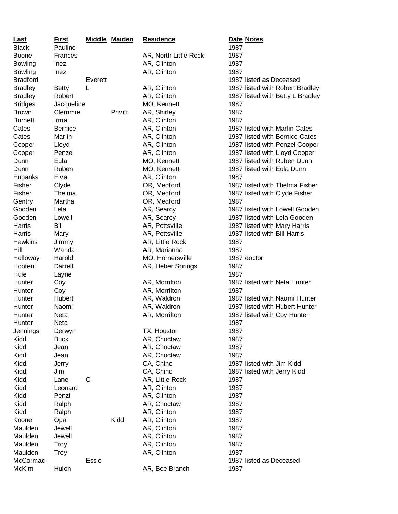| <b>Last</b>     | <b>First</b>   |         | <b>Middle Maiden</b> | <b>Residence</b>      |      | Date Notes                       |
|-----------------|----------------|---------|----------------------|-----------------------|------|----------------------------------|
| <b>Black</b>    | Pauline        |         |                      |                       | 1987 |                                  |
| <b>Boone</b>    | Frances        |         |                      | AR, North Little Rock | 1987 |                                  |
| <b>Bowling</b>  | Inez           |         |                      | AR, Clinton           | 1987 |                                  |
| <b>Bowling</b>  | Inez           |         |                      | AR, Clinton           | 1987 |                                  |
| <b>Bradford</b> |                | Everett |                      |                       |      | 1987 listed as Deceased          |
| <b>Bradley</b>  | <b>Betty</b>   | L       |                      | AR, Clinton           |      | 1987 listed with Robert Bradley  |
| <b>Bradley</b>  | Robert         |         |                      | AR, Clinton           |      | 1987 listed with Betty L Bradley |
| <b>Bridges</b>  | Jacqueline     |         |                      | MO, Kennett           | 1987 |                                  |
| <b>Brown</b>    | Clemmie        |         | Privitt              | AR, Shirley           | 1987 |                                  |
| <b>Burnett</b>  | Irma           |         |                      | AR, Clinton           | 1987 |                                  |
| Cates           | <b>Bernice</b> |         |                      | AR, Clinton           |      | 1987 listed with Marlin Cates    |
| Cates           | Marlin         |         |                      | AR, Clinton           |      | 1987 listed with Bernice Cates   |
| Cooper          | Lloyd          |         |                      | AR, Clinton           |      | 1987 listed with Penzel Cooper   |
| Cooper          | Penzel         |         |                      | AR, Clinton           |      | 1987 listed with Lloyd Cooper    |
| Dunn            | Eula           |         |                      | MO, Kennett           |      | 1987 listed with Ruben Dunn      |
| Dunn            | Ruben          |         |                      | MO, Kennett           |      | 1987 listed with Eula Dunn       |
| Eubanks         | Elva           |         |                      | AR, Clinton           | 1987 |                                  |
| Fisher          | Clyde          |         |                      | OR, Medford           |      | 1987 listed with Thelma Fisher   |
| Fisher          | Thelma         |         |                      | OR, Medford           |      | 1987 listed with Clyde Fisher    |
| Gentry          | Martha         |         |                      | OR, Medford           | 1987 |                                  |
| Gooden          | Lela           |         |                      | AR, Searcy            |      | 1987 listed with Lowell Gooden   |
| Gooden          | Lowell         |         |                      | AR, Searcy            |      | 1987 listed with Lela Gooden     |
| Harris          | Bill           |         |                      | AR, Pottsville        |      | 1987 listed with Mary Harris     |
| Harris          | Mary           |         |                      | AR, Pottsville        |      | 1987 listed with Bill Harris     |
| Hawkins         | Jimmy          |         |                      | AR, Little Rock       | 1987 |                                  |
| Hill            | Wanda          |         |                      | AR, Marianna          | 1987 |                                  |
| Holloway        | Harold         |         |                      | MO, Hornersville      |      | 1987 doctor                      |
| Hooten          | Darrell        |         |                      | AR, Heber Springs     | 1987 |                                  |
| Huie            | Layne          |         |                      |                       | 1987 |                                  |
| Hunter          | Coy            |         |                      | AR, Morrilton         |      | 1987 listed with Neta Hunter     |
| Hunter          | Coy            |         |                      | AR, Morrilton         | 1987 |                                  |
| Hunter          | Hubert         |         |                      | AR, Waldron           |      | 1987 listed with Naomi Hunter    |
| Hunter          | Naomi          |         |                      | AR, Waldron           |      | 1987 listed with Hubert Hunter   |
| Hunter          | Neta           |         |                      | AR, Morrilton         |      | 1987 listed with Coy Hunter      |
| Hunter          | Neta           |         |                      |                       | 1987 |                                  |
| Jennings        | Derwyn         |         |                      | TX, Houston           | 1987 |                                  |
| Kidd            | <b>Buck</b>    |         |                      | AR, Choctaw           | 1987 |                                  |
| Kidd            | Jean           |         |                      | AR, Choctaw           | 1987 |                                  |
| Kidd            | Jean           |         |                      | AR, Choctaw           | 1987 |                                  |
| Kidd            | Jerry          |         |                      | CA, Chino             |      | 1987 listed with Jim Kidd        |
| Kidd            | Jim            |         |                      | CA, Chino             |      | 1987 listed with Jerry Kidd      |
| Kidd            | Lane           | C       |                      | AR, Little Rock       | 1987 |                                  |
| Kidd            | Leonard        |         |                      | AR, Clinton           | 1987 |                                  |
| Kidd            | Penzil         |         |                      | AR, Clinton           | 1987 |                                  |
| Kidd            | Ralph          |         |                      | AR, Choctaw           | 1987 |                                  |
| Kidd            |                |         |                      |                       | 1987 |                                  |
|                 | Ralph          |         | Kidd                 | AR, Clinton           |      |                                  |
| Koone           | Opal           |         |                      | AR, Clinton           | 1987 |                                  |
| Maulden         | Jewell         |         |                      | AR, Clinton           | 1987 |                                  |
| Maulden         | Jewell         |         |                      | AR, Clinton           | 1987 |                                  |
| Maulden         | <b>Troy</b>    |         |                      | AR, Clinton           | 1987 |                                  |
| Maulden         | <b>Troy</b>    |         |                      | AR, Clinton           | 1987 |                                  |
| McCormac        |                | Essie   |                      |                       |      | 1987 listed as Deceased          |
| McKim           | Hulon          |         |                      | AR, Bee Branch        | 1987 |                                  |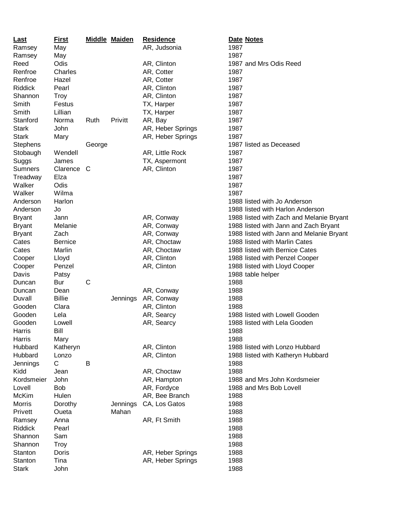| Last            | <b>First</b>    |        | <b>Middle Maiden</b> | <b>Residence</b>  | Date Notes                               |
|-----------------|-----------------|--------|----------------------|-------------------|------------------------------------------|
| Ramsey          | May             |        |                      | AR, Judsonia      | 1987                                     |
| Ramsey          | May             |        |                      |                   | 1987                                     |
| Reed            | Odis            |        |                      | AR, Clinton       | 1987 and Mrs Odis Reed                   |
| Renfroe         | Charles         |        |                      | AR, Cotter        | 1987                                     |
| Renfroe         | Hazel           |        |                      | AR, Cotter        | 1987                                     |
| Riddick         | Pearl           |        |                      | AR, Clinton       | 1987                                     |
| Shannon         | <b>Troy</b>     |        |                      | AR, Clinton       | 1987                                     |
| Smith           | Festus          |        |                      | TX, Harper        | 1987                                     |
| Smith           | Lillian         |        |                      | TX, Harper        | 1987                                     |
| Stanford        | Norma           | Ruth   | Privitt              | AR, Bay           | 1987                                     |
| <b>Stark</b>    | John            |        |                      | AR, Heber Springs | 1987                                     |
| <b>Stark</b>    | Mary            |        |                      | AR, Heber Springs | 1987                                     |
| <b>Stephens</b> |                 | George |                      |                   | 1987 listed as Deceased                  |
| Stobaugh        | Wendell         |        |                      | AR, Little Rock   | 1987                                     |
| Suggs           | James           |        |                      | TX, Aspermont     | 1987                                     |
| Sumners         | Clarence        | C      |                      | AR, Clinton       | 1987                                     |
| Treadway        | Elza            |        |                      |                   | 1987                                     |
| Walker          | Odis            |        |                      |                   | 1987                                     |
| Walker          | Wilma           |        |                      |                   | 1987                                     |
| Anderson        | Harlon          |        |                      |                   | 1988 listed with Jo Anderson             |
| Anderson        | Jo              |        |                      |                   | 1988 listed with Harlon Anderson         |
| <b>Bryant</b>   | Jann            |        |                      | AR, Conway        | 1988 listed with Zach and Melanie Bryant |
|                 |                 |        |                      |                   |                                          |
| <b>Bryant</b>   | Melanie<br>Zach |        |                      | AR, Conway        | 1988 listed with Jann and Zach Bryant    |
| <b>Bryant</b>   |                 |        |                      | AR, Conway        | 1988 listed with Jann and Melanie Bryant |
| Cates           | <b>Bernice</b>  |        |                      | AR, Choctaw       | 1988 listed with Marlin Cates            |
| Cates           | Marlin          |        |                      | AR, Choctaw       | 1988 listed with Bernice Cates           |
| Cooper          | Lloyd           |        |                      | AR, Clinton       | 1988 listed with Penzel Cooper           |
| Cooper          | Penzel          |        |                      | AR, Clinton       | 1988 listed with Lloyd Cooper            |
| Davis           | Patsy           |        |                      |                   | 1988 table helper                        |
| Duncan          | Bur             | C      |                      |                   | 1988                                     |
| Duncan          | Dean            |        |                      | AR, Conway        | 1988                                     |
| Duvall          | <b>Billie</b>   |        | Jennings             | AR, Conway        | 1988                                     |
| Gooden          | Clara           |        |                      | AR, Clinton       | 1988                                     |
| Gooden          | Lela            |        |                      | AR, Searcy        | 1988 listed with Lowell Gooden           |
| Gooden          | Lowell          |        |                      | AR, Searcy        | 1988 listed with Lela Gooden             |
| Harris          | Bill            |        |                      |                   | 1988                                     |
| Harris          | Mary            |        |                      |                   | 1988                                     |
| Hubbard         | Katheryn        |        |                      | AR, Clinton       | 1988 listed with Lonzo Hubbard           |
| Hubbard         | Lonzo           |        |                      | AR, Clinton       | 1988 listed with Katheryn Hubbard        |
| Jennings        | C               | B      |                      |                   | 1988                                     |
| Kidd            | Jean            |        |                      | AR, Choctaw       | 1988                                     |
| Kordsmeier      | John            |        |                      | AR, Hampton       | 1988 and Mrs John Kordsmeier             |
| Lovell          | <b>Bob</b>      |        |                      | AR, Fordyce       | 1988 and Mrs Bob Lovell                  |
| McKim           | Hulen           |        |                      | AR, Bee Branch    | 1988                                     |
| <b>Morris</b>   | Dorothy         |        | Jennings             | CA, Los Gatos     | 1988                                     |
| Privett         | Oueta           |        | Mahan                |                   | 1988                                     |
| Ramsey          | Anna            |        |                      | AR, Ft Smith      | 1988                                     |
| Riddick         | Pearl           |        |                      |                   | 1988                                     |
| Shannon         | Sam             |        |                      |                   | 1988                                     |
| Shannon         | <b>Troy</b>     |        |                      |                   | 1988                                     |
| Stanton         | Doris           |        |                      | AR, Heber Springs | 1988                                     |
| Stanton         | Tina            |        |                      | AR, Heber Springs | 1988                                     |
| <b>Stark</b>    | John            |        |                      |                   | 1988                                     |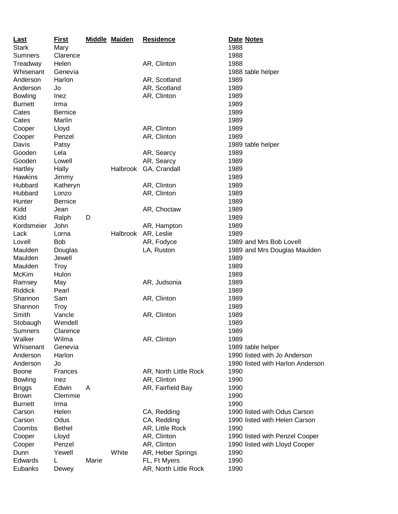| <b>Last</b>    | <u>First</u>   |       | <b>Middle Maiden</b> | <b>Residence</b>      | Date Notes                       |
|----------------|----------------|-------|----------------------|-----------------------|----------------------------------|
| <b>Stark</b>   | Mary           |       |                      |                       | 1988                             |
| Sumners        | Clarence       |       |                      |                       | 1988                             |
| Treadway       | Helen          |       |                      | AR, Clinton           | 1988                             |
| Whisenant      | Genevia        |       |                      |                       | 1988 table helper                |
| Anderson       | Harlon         |       |                      | AR, Scotland          | 1989                             |
| Anderson       | Jo             |       |                      | AR, Scotland          | 1989                             |
| <b>Bowling</b> | Inez           |       |                      | AR, Clinton           | 1989                             |
| <b>Burnett</b> | Irma           |       |                      |                       | 1989                             |
| Cates          | <b>Bernice</b> |       |                      |                       | 1989                             |
| Cates          | Marlin         |       |                      |                       | 1989                             |
| Cooper         | Lloyd          |       |                      | AR, Clinton           | 1989                             |
| Cooper         | Penzel         |       |                      | AR, Clinton           | 1989                             |
| Davis          | Patsy          |       |                      |                       | 1989 table helper                |
| Gooden         | Lela           |       |                      | AR, Searcy            | 1989                             |
| Gooden         | Lowell         |       |                      | AR, Searcy            | 1989                             |
| Hartley        |                |       |                      |                       | 1989                             |
| Hawkins        | Hally          |       | Halbrook             | GA, Crandall          |                                  |
| Hubbard        | Jimmy          |       |                      |                       | 1989                             |
|                | Katheryn       |       |                      | AR, Clinton           | 1989                             |
| Hubbard        | Lonzo          |       |                      | AR, Clinton           | 1989                             |
| Hunter         | <b>Bernice</b> |       |                      |                       | 1989                             |
| Kidd           | Jean           |       |                      | AR, Choctaw           | 1989                             |
| Kidd           | Ralph          | D     |                      |                       | 1989                             |
| Kordsmeier     | John           |       |                      | AR, Hampton           | 1989                             |
| Lack           | Lorna          |       |                      | Halbrook AR, Leslie   | 1989                             |
| Lovell         | <b>Bob</b>     |       |                      | AR, Fodyce            | 1989 and Mrs Bob Lovell          |
| Maulden        | Douglas        |       |                      | LA, Ruston            | 1989 and Mrs Douglas Maulden     |
| Maulden        | Jewell         |       |                      |                       | 1989                             |
| Maulden        | <b>Troy</b>    |       |                      |                       | 1989                             |
| McKim          | Hulon          |       |                      |                       | 1989                             |
| Ramsey         | May            |       |                      | AR, Judsonia          | 1989                             |
| Riddick        | Pearl          |       |                      |                       | 1989                             |
| Shannon        | Sam            |       |                      | AR, Clinton           | 1989                             |
| Shannon        | <b>Troy</b>    |       |                      |                       | 1989                             |
| Smith          | Vancle         |       |                      | AR, Clinton           | 1989                             |
| Stobaugh       | Wendell        |       |                      |                       | 1989                             |
| <b>Sumners</b> | Clarence       |       |                      |                       | 1989                             |
| Walker         | Wilma          |       |                      | AR, Clinton           | 1989                             |
| Whisenant      | Genevia        |       |                      |                       | 1989 table helper                |
| Anderson       | Harlon         |       |                      |                       | 1990 listed with Jo Anderson     |
| Anderson       | Jo             |       |                      |                       | 1990 listed with Harlon Anderson |
| <b>Boone</b>   | Frances        |       |                      | AR, North Little Rock | 1990                             |
| <b>Bowling</b> | Inez           |       |                      | AR, Clinton           | 1990                             |
| <b>Briggs</b>  | Edwin          | A     |                      | AR, Fairfield Bay     | 1990                             |
| <b>Brown</b>   | Clemmie        |       |                      |                       | 1990                             |
| <b>Burnett</b> | Irma           |       |                      |                       | 1990                             |
| Carson         | Helen          |       |                      | CA, Redding           | 1990 listed with Odus Carson     |
| Carson         | Odus           |       |                      | CA, Redding           | 1990 listed with Helen Carson    |
| Coombs         | <b>Bethel</b>  |       |                      | AR, Little Rock       | 1990                             |
| Cooper         | Lloyd          |       |                      | AR, Clinton           | 1990 listed with Penzel Cooper   |
| Cooper         | Penzel         |       |                      | AR, Clinton           | 1990 listed with Lloyd Cooper    |
| Dunn           | Yewell         |       | White                | AR, Heber Springs     | 1990                             |
| <b>Edwards</b> | L              | Marie |                      | FL, Ft Myers          | 1990                             |
| Eubanks        | Dewey          |       |                      | AR, North Little Rock | 1990                             |
|                |                |       |                      |                       |                                  |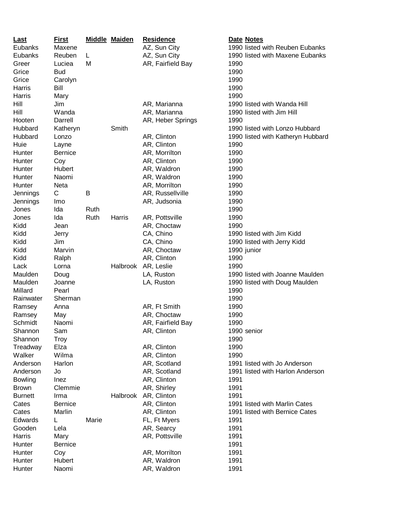| <b>Last</b>    | <b>First</b>   |       | <b>Middle Maiden</b> | <b>Residence</b>  | Date Notes                                                      |
|----------------|----------------|-------|----------------------|-------------------|-----------------------------------------------------------------|
| Eubanks        | Maxene         |       |                      | AZ, Sun City      | 1990 listed with Reuben Eubanks                                 |
| Eubanks        | Reuben         | L     |                      | AZ, Sun City      | 1990 listed with Maxene Eubanks                                 |
| Greer          | Luciea         | M     |                      | AR, Fairfield Bay | 1990                                                            |
| Grice          | <b>Bud</b>     |       |                      |                   | 1990                                                            |
| Grice          | Carolyn        |       |                      |                   | 1990                                                            |
| Harris         | Bill           |       |                      |                   | 1990                                                            |
| Harris         | Mary           |       |                      |                   | 1990                                                            |
| Hill           | Jim            |       |                      | AR, Marianna      | 1990 listed with Wanda Hill                                     |
| Hill           | Wanda          |       |                      | AR, Marianna      | 1990 listed with Jim Hill                                       |
| Hooten         | Darrell        |       |                      | AR, Heber Springs | 1990                                                            |
| Hubbard        | Katheryn       |       | Smith                |                   | 1990 listed with Lonzo Hubbard                                  |
| Hubbard        | Lonzo          |       |                      | AR, Clinton       | 1990 listed with Katheryn Hubbard                               |
| Huie           | Layne          |       |                      | AR, Clinton       | 1990                                                            |
| Hunter         | <b>Bernice</b> |       |                      | AR, Morrilton     | 1990                                                            |
| Hunter         | Coy            |       |                      | AR, Clinton       | 1990                                                            |
| Hunter         | Hubert         |       |                      | AR, Waldron       | 1990                                                            |
| Hunter         | Naomi          |       |                      |                   |                                                                 |
|                |                |       |                      | AR, Waldron       | 1990                                                            |
| Hunter         | Neta           |       |                      | AR, Morrilton     | 1990                                                            |
| Jennings       | С              | B     |                      | AR, Russellville  | 1990                                                            |
| Jennings       | Imo            |       |                      | AR, Judsonia      | 1990                                                            |
| Jones          | Ida            | Ruth  |                      |                   | 1990                                                            |
| Jones          | Ida            | Ruth  | Harris               | AR, Pottsville    | 1990                                                            |
| Kidd           | Jean           |       |                      | AR, Choctaw       | 1990                                                            |
| Kidd           | Jerry          |       |                      | CA, Chino         | 1990 listed with Jim Kidd                                       |
| Kidd           | Jim            |       |                      | CA, Chino         | 1990 listed with Jerry Kidd                                     |
| Kidd           | Marvin         |       |                      | AR, Choctaw       | 1990 junior                                                     |
| Kidd           | Ralph          |       |                      | AR, Clinton       | 1990                                                            |
| Lack           | Lorna          |       | Halbrook             | AR, Leslie        | 1990                                                            |
| Maulden        | Doug           |       |                      | LA, Ruston        | 1990 listed with Joanne Maulden                                 |
| Maulden        | Joanne         |       |                      | LA, Ruston        | 1990 listed with Doug Maulden                                   |
| Millard        | Pearl          |       |                      |                   | 1990                                                            |
| Rainwater      | Sherman        |       |                      |                   | 1990                                                            |
| Ramsey         | Anna           |       |                      | AR, Ft Smith      | 1990                                                            |
| Ramsey         | May            |       |                      | AR, Choctaw       | 1990                                                            |
| Schmidt        | Naomi          |       |                      | AR, Fairfield Bay | 1990                                                            |
| Shannon        | Sam            |       |                      | AR, Clinton       | 1990 senior                                                     |
| Shannon        | <b>Troy</b>    |       |                      |                   | 1990                                                            |
| Treadway       | Elza           |       |                      | AR, Clinton       | 1990                                                            |
| Walker         | Wilma          |       |                      | AR, Clinton       | 1990                                                            |
| Anderson       | Harlon         |       |                      | AR, Scotland      | 1991 listed with Jo Anderson                                    |
| Anderson       | Jo             |       |                      | AR, Scotland      | 1991 listed with Harlon Anderson                                |
| <b>Bowling</b> | Inez           |       |                      | AR, Clinton       | 1991                                                            |
| <b>Brown</b>   | Clemmie        |       |                      | AR, Shirley       | 1991                                                            |
| <b>Burnett</b> | Irma           |       | Halbrook             | AR, Clinton       | 1991                                                            |
|                |                |       |                      | AR, Clinton       |                                                                 |
| Cates          | <b>Bernice</b> |       |                      |                   | 1991 listed with Marlin Cates<br>1991 listed with Bernice Cates |
| Cates          | Marlin         |       |                      | AR, Clinton       |                                                                 |
| Edwards        | L              | Marie |                      | FL, Ft Myers      | 1991                                                            |
| Gooden         | Lela           |       |                      | AR, Searcy        | 1991                                                            |
| Harris         | Mary           |       |                      | AR, Pottsville    | 1991                                                            |
| Hunter         | <b>Bernice</b> |       |                      |                   | 1991                                                            |
| Hunter         | Coy            |       |                      | AR, Morrilton     | 1991                                                            |
| Hunter         | Hubert         |       |                      | AR, Waldron       | 1991                                                            |
| Hunter         | Naomi          |       |                      | AR, Waldron       | 1991                                                            |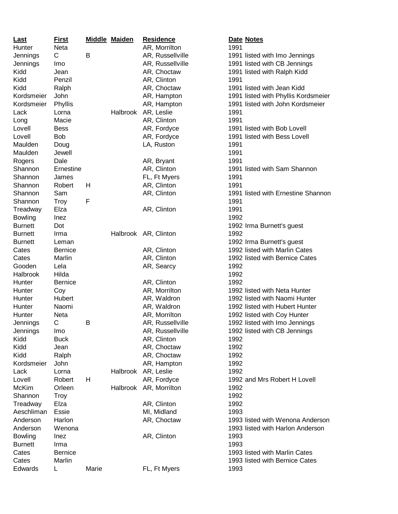| <u>Last</u>    | <b>First</b>   |             | <b>Middle Maiden</b> | <b>Residence</b>     | Date Notes                          |  |
|----------------|----------------|-------------|----------------------|----------------------|-------------------------------------|--|
| Hunter         | <b>Neta</b>    |             |                      | AR, Morrilton        | 1991                                |  |
| Jennings       | C              | B           |                      | AR, Russellville     | 1991 listed with Imo Jennings       |  |
| Jennings       | Imo            |             |                      | AR, Russellville     | 1991 listed with CB Jennings        |  |
| Kidd           | Jean           |             |                      | AR, Choctaw          | 1991 listed with Ralph Kidd         |  |
| Kidd           | Penzil         |             |                      | AR, Clinton          | 1991                                |  |
| Kidd           | Ralph          |             |                      | AR, Choctaw          | 1991 listed with Jean Kidd          |  |
| Kordsmeier     | John           |             |                      | AR, Hampton          | 1991 listed with Phyllis Kordsmeier |  |
| Kordsmeier     | Phyllis        |             |                      | AR, Hampton          | 1991 listed with John Kordsmeier    |  |
|                |                |             |                      |                      |                                     |  |
| Lack           | Lorna          |             | Halbrook             | AR, Leslie           | 1991                                |  |
| Long           | Macie          |             |                      | AR, Clinton          | 1991                                |  |
| Lovell         | <b>Bess</b>    |             |                      | AR, Fordyce          | 1991 listed with Bob Lovell         |  |
| Lovell         | <b>Bob</b>     |             |                      | AR, Fordyce          | 1991 listed with Bess Lovell        |  |
| Maulden        | Doug           |             |                      | LA, Ruston           | 1991                                |  |
| Maulden        | Jewell         |             |                      |                      | 1991                                |  |
| Rogers         | Dale           |             |                      | AR, Bryant           | 1991                                |  |
| Shannon        | Ernestine      |             |                      | AR, Clinton          | 1991 listed with Sam Shannon        |  |
| Shannon        | James          |             |                      | FL, Ft Myers         | 1991                                |  |
| Shannon        | Robert         | H           |                      | AR, Clinton          | 1991                                |  |
| Shannon        | Sam            |             |                      | AR, Clinton          | 1991 listed with Ernestine Shannon  |  |
| Shannon        | <b>Troy</b>    | $\mathsf F$ |                      |                      | 1991                                |  |
| Treadway       | Elza           |             |                      | AR, Clinton          | 1991                                |  |
| <b>Bowling</b> | Inez           |             |                      |                      | 1992                                |  |
| <b>Burnett</b> | Dot            |             |                      |                      | 1992 Irma Burnett's guest           |  |
| <b>Burnett</b> | Irma           |             |                      | Halbrook AR, Clinton | 1992                                |  |
| <b>Burnett</b> | Leman          |             |                      |                      | 1992 Irma Burnett's guest           |  |
|                |                |             |                      |                      | 1992 listed with Marlin Cates       |  |
| Cates          | <b>Bernice</b> |             |                      | AR, Clinton          |                                     |  |
| Cates          | Marlin         |             |                      | AR, Clinton          | 1992 listed with Bernice Cates      |  |
| Gooden         | Lela           |             |                      | AR, Searcy           | 1992                                |  |
| Halbrook       | Hilda          |             |                      |                      | 1992                                |  |
| Hunter         | <b>Bernice</b> |             |                      | AR, Clinton          | 1992                                |  |
| Hunter         | Coy            |             |                      | AR, Morrilton        | 1992 listed with Neta Hunter        |  |
| Hunter         | Hubert         |             |                      | AR, Waldron          | 1992 listed with Naomi Hunter       |  |
| Hunter         | Naomi          |             |                      | AR, Waldron          | 1992 listed with Hubert Hunter      |  |
| Hunter         | Neta           |             |                      | AR, Morrilton        | 1992 listed with Coy Hunter         |  |
| Jennings       | С              | B           |                      | AR, Russellville     | 1992 listed with Imo Jennings       |  |
| Jennings       | lmo            |             |                      | AR, Russellville     | 1992 listed with CB Jennings        |  |
| Kidd           | <b>Buck</b>    |             |                      | AR, Clinton          | 1992                                |  |
| Kidd           | Jean           |             |                      | AR, Choctaw          | 1992                                |  |
| Kidd           | Ralph          |             |                      | AR, Choctaw          | 1992                                |  |
| Kordsmeier     | John           |             |                      | AR, Hampton          | 1992                                |  |
| Lack           | Lorna          |             | Halbrook             | AR, Leslie           | 1992                                |  |
| Lovell         | Robert         | H           |                      | AR, Fordyce          | 1992 and Mrs Robert H Lovell        |  |
| McKim          | Orleen         |             | Halbrook             | AR, Morrilton        | 1992                                |  |
| Shannon        |                |             |                      |                      | 1992                                |  |
|                | <b>Troy</b>    |             |                      |                      | 1992                                |  |
| Treadway       | Elza           |             |                      | AR, Clinton          |                                     |  |
| Aeschliman     | Essie          |             |                      | MI, Midland          | 1993                                |  |
| Anderson       | Harlon         |             |                      | AR, Choctaw          | 1993 listed with Wenona Anderson    |  |
| Anderson       | Wenona         |             |                      |                      | 1993 listed with Harlon Anderson    |  |
| <b>Bowling</b> | Inez           |             |                      | AR, Clinton          | 1993                                |  |
| <b>Burnett</b> | Irma           |             |                      |                      | 1993                                |  |
| Cates          | <b>Bernice</b> |             |                      |                      | 1993 listed with Marlin Cates       |  |
| Cates          | Marlin         |             |                      |                      | 1993 listed with Bernice Cates      |  |
| Edwards        | L              | Marie       |                      | FL, Ft Myers         | 1993                                |  |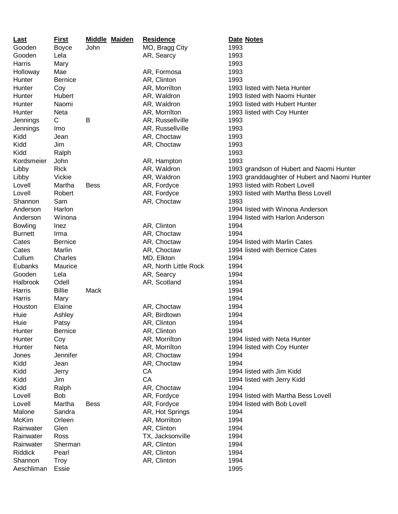| <u>Last</u>    | <b>First</b>   | <b>Middle Maiden</b> | <b>Residence</b>      | Date Notes                                    |
|----------------|----------------|----------------------|-----------------------|-----------------------------------------------|
| Gooden         | <b>Boyce</b>   | John                 | MO, Bragg City        | 1993                                          |
| Gooden         | Lela           |                      | AR, Searcy            | 1993                                          |
| Harris         | Mary           |                      |                       | 1993                                          |
| Holloway       | Mae            |                      | AR, Formosa           | 1993                                          |
| Hunter         | <b>Bernice</b> |                      | AR, Clinton           | 1993                                          |
| Hunter         | Coy            |                      | AR, Morrilton         | 1993 listed with Neta Hunter                  |
| Hunter         | Hubert         |                      | AR, Waldron           | 1993 listed with Naomi Hunter                 |
| Hunter         | Naomi          |                      | AR, Waldron           | 1993 listed with Hubert Hunter                |
| Hunter         | <b>Neta</b>    |                      | AR, Morrilton         | 1993 listed with Coy Hunter                   |
| Jennings       | C              | B                    | AR, Russellville      | 1993                                          |
| Jennings       | Imo            |                      | AR, Russellville      | 1993                                          |
| Kidd           | Jean           |                      | AR, Choctaw           | 1993                                          |
| Kidd           | Jim            |                      | AR, Choctaw           | 1993                                          |
| Kidd           | Ralph          |                      |                       | 1993                                          |
| Kordsmeier     | John           |                      | AR, Hampton           | 1993                                          |
| Libby          | <b>Rick</b>    |                      | AR, Waldron           | 1993 grandson of Hubert and Naomi Hunter      |
| Libby          | Vickie         |                      | AR, Waldron           | 1993 granddaughter of Hubert and Naomi Hunter |
| Lovell         | Martha         | <b>Bess</b>          | AR, Fordyce           | 1993 listed with Robert Lovell                |
| Lovell         | Robert         |                      | AR, Fordyce           | 1993 listed with Martha Bess Lovell           |
| Shannon        | Sam            |                      | AR, Choctaw           | 1993                                          |
| Anderson       | Harlon         |                      |                       | 1994 listed with Winona Anderson              |
| Anderson       | Winona         |                      |                       | 1994 listed with Harlon Anderson              |
| <b>Bowling</b> | Inez           |                      | AR, Clinton           | 1994                                          |
| <b>Burnett</b> | Irma           |                      | AR, Choctaw           | 1994                                          |
| Cates          | <b>Bernice</b> |                      | AR, Choctaw           | 1994 listed with Marlin Cates                 |
| Cates          | Marlin         |                      | AR, Choctaw           | 1994 listed with Bernice Cates                |
| Cullum         | Charles        |                      | MD, Elkton            | 1994                                          |
| Eubanks        | Maurice        |                      | AR, North Little Rock | 1994                                          |
| Gooden         | Lela           |                      | AR, Searcy            | 1994                                          |
| Halbrook       | Odell          |                      | AR, Scotland          | 1994                                          |
| Harris         | <b>Billie</b>  | Mack                 |                       | 1994                                          |
| Harris         | Mary           |                      |                       | 1994                                          |
| Houston        | Elaine         |                      | AR, Choctaw           | 1994                                          |
| Huie           | Ashley         |                      | AR, Birdtown          | 1994                                          |
| Huie           | Patsy          |                      | AR, Clinton           | 1994                                          |
| Hunter         | <b>Bernice</b> |                      | AR, Clinton           | 1994                                          |
| Hunter         | Coy            |                      | AR, Morrilton         | 1994 listed with Neta Hunter                  |
| Hunter         | Neta           |                      | AR, Morrilton         | 1994 listed with Coy Hunter                   |
| Jones          | Jennifer       |                      | AR, Choctaw           | 1994                                          |
| Kidd           | Jean           |                      | AR, Choctaw           | 1994                                          |
| Kidd           | Jerry          |                      | CA                    | 1994 listed with Jim Kidd                     |
| Kidd           | Jim            |                      | CA                    | 1994 listed with Jerry Kidd                   |
| Kidd           | Ralph          |                      | AR, Choctaw           | 1994                                          |
| Lovell         | <b>Bob</b>     |                      | AR, Fordyce           | 1994 listed with Martha Bess Lovell           |
| Lovell         | Martha         | Bess                 | AR, Fordyce           | 1994 listed with Bob Lovell                   |
| Malone         | Sandra         |                      | AR, Hot Springs       | 1994                                          |
| McKim          | Orleen         |                      | AR, Morrilton         | 1994                                          |
| Rainwater      | Glen           |                      | AR, Clinton           | 1994                                          |
| Rainwater      | Ross           |                      | TX, Jacksonville      | 1994                                          |
| Rainwater      | Sherman        |                      | AR, Clinton           | 1994                                          |
| Riddick        | Pearl          |                      | AR, Clinton           | 1994                                          |
| Shannon        | <b>Troy</b>    |                      | AR, Clinton           | 1994                                          |
| Aeschliman     | Essie          |                      |                       | 1995                                          |